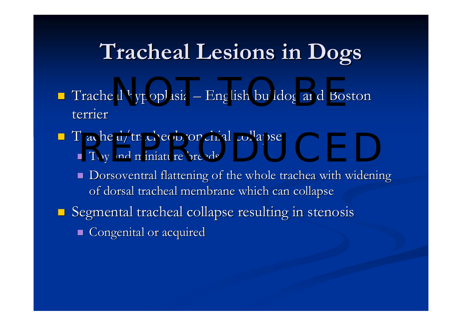# **Tracheal Lesions in Dogs Tracheal Lesions in Dogs**

- $\blacksquare$  Tracheal hypoplasia **Line Communication** al hypoplasia – English bulldog and Boston terrier
- Tracheal/tracheobronchial collapse<br>■ Toy and miniature breeds
	- $\blacksquare$  Toy and miniature breeds
	- П Dorsoventral flattening of the whole trachea with widening of dorsal tracheal membrane which can collapse
- **Segmental tracheal collapse resulting in stenosis** 
	- **Congenital or acquired**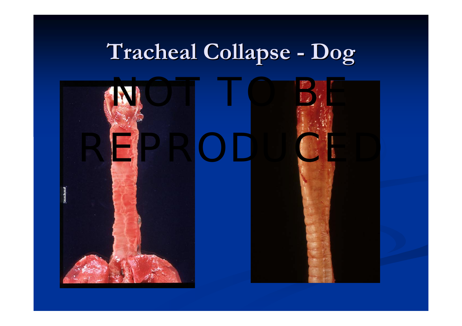#### **Tracheal Collapse Tracheal Collapse -Dog**



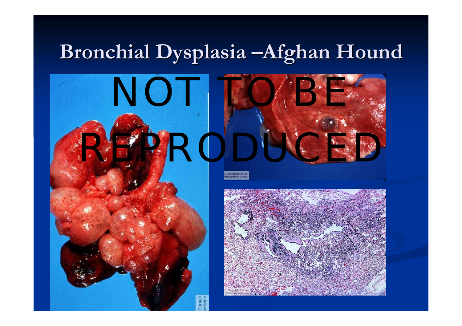### Bronchial Dysplasia **–Afghan Hound**





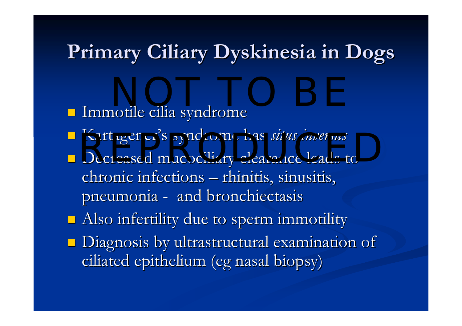### **Primary Primary Ciliary Ciliary Dyskinesia Dyskinesia in Dogs in Dogs**

 $\blacksquare$  Immotile cilia syndrome **E** Kartagener's syndrome has *situs inversus*  $\blacksquare$  Decreased mucociliary clearance leads to chronic infections – rhinitis, sinusitis, pneumonia - and bronchiectasis  $\blacksquare$  Also infertility due to sperm immotility  $\blacksquare$  Diagnosis by ultrastructural examination of ciliated epithelium (eg nasal biopsy) NOT TO BE A REPORT OF THE SERVICE OF THE SERVICE OF THE SERVICE OF THE SERVICE OF THE SERVICE OF THE SERVICE O<br>NOTE: THE SERVICE OF THE SERVICE OF THE SERVICE OF THE SERVICE OF THE SERVICE OF THE SERVICE OF THE SERVICE OF<br> Rartagener's syndrome has *situs inversus*<br>Decreased mucociliary clearance leads to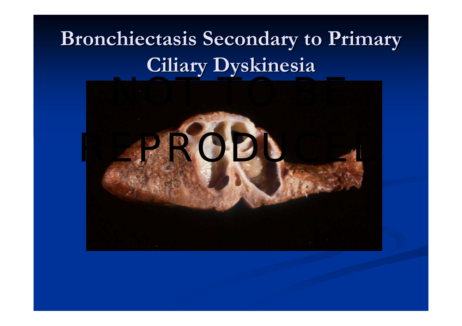## **Bronchiectasis Secondary to Primary**  $Ciliary Dyskinesia$

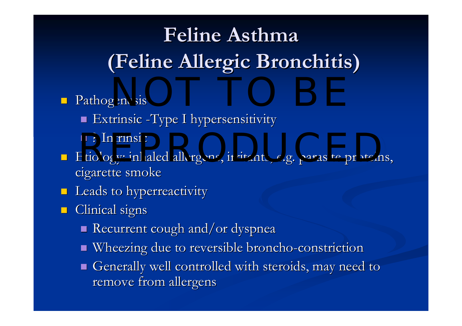# **Feline Asthma Feline Asthma(Feline Allergic Bronchitis) (Feline Allergic Bronchitis)**

### **Pathogenesis** NOT TO BE

- **Extrinsic -Type I hypersensitivity**
- ? Intrinsic ? Intrinsic
- REPRODUCED PHINES PARASITE PRODUCED PRODUCEDS, Etiology: inhaled allergens, irritants, e.g. parasite proteins, cigarette smoke
- **Leads to hyperreactivity**
- $\blacksquare$ Clinical signs
	- Recurrent cough and/or dyspnea
	- Wheezing due to reversible broncho-constriction
	- $\blacksquare$  Generally well controlled with steroids, may need to remove from allergens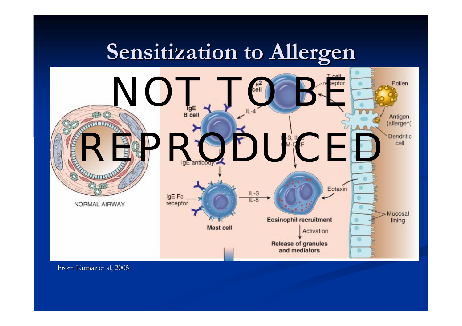### **Sensitization to Allergen Sensitization to Allergen**



From Kumar et al, 2005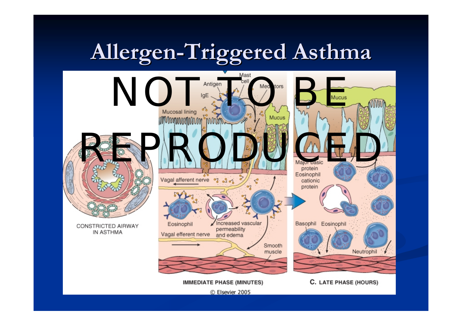# **Allergen-Triggered Asthma**



CONSTRICTED AIRWAY IN ASTHMA



**IMMEDIATE PHASE (MINUTES)** 

C. LATE PHASE (HOURS)

© Elsevier 2005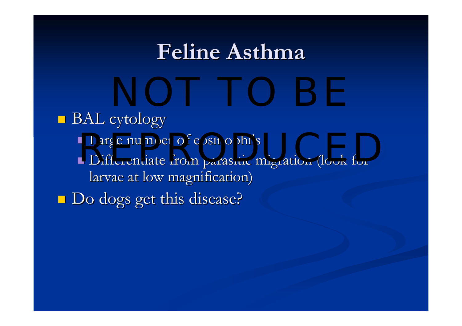### **Feline Asthma Feline Asthma**

 $\blacksquare$  BAL cytology **Large number of eosinophils Differentiate from parasitic migration (look for** larvae at low magnification) **Do dogs get this disease?** Large number of eosinophils<br>Differentiate from parasitic micration (look for